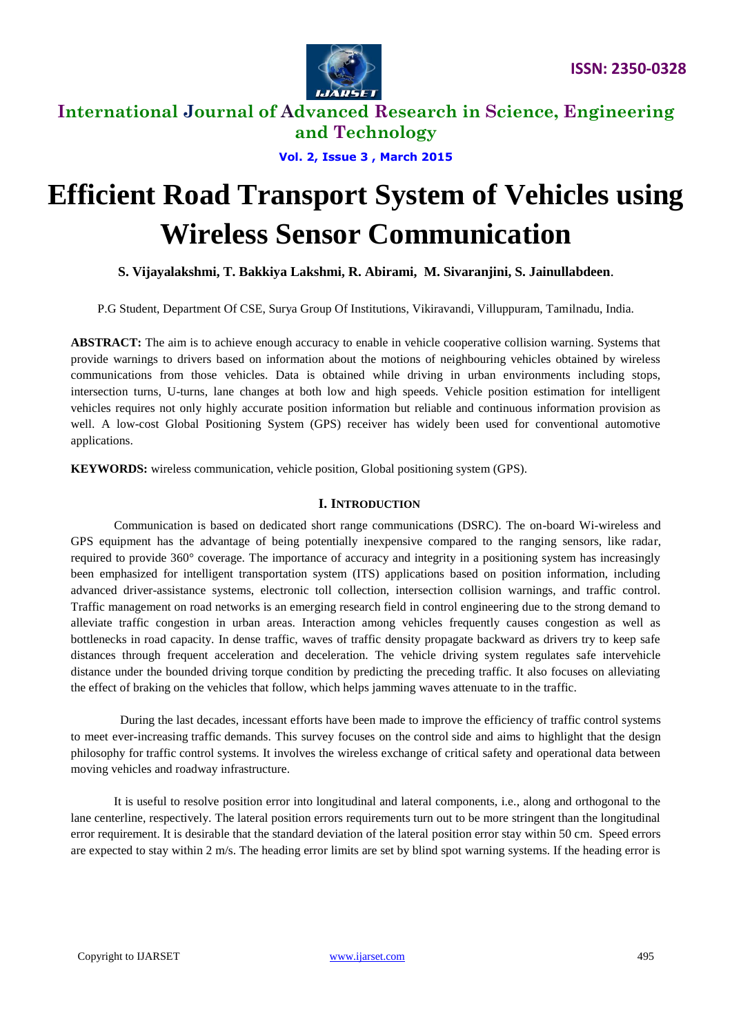

**Vol. 2, Issue 3 , March 2015**

# **Efficient Road Transport System of Vehicles using Wireless Sensor Communication**

**S. Vijayalakshmi, T. Bakkiya Lakshmi, R. Abirami, M. Sivaranjini, S. Jainullabdeen**.

P.G Student, Department Of CSE, Surya Group Of Institutions, Vikiravandi, Villuppuram, Tamilnadu, India.

**ABSTRACT:** The aim is to achieve enough accuracy to enable in vehicle cooperative collision warning. Systems that provide warnings to drivers based on information about the motions of neighbouring vehicles obtained by wireless communications from those vehicles. Data is obtained while driving in urban environments including stops, intersection turns, U-turns, lane changes at both low and high speeds. Vehicle position estimation for intelligent vehicles requires not only highly accurate position information but reliable and continuous information provision as well. A low-cost Global Positioning System (GPS) receiver has widely been used for conventional automotive applications.

**KEYWORDS:** wireless communication, vehicle position, Global positioning system (GPS).

## **I. INTRODUCTION**

 Communication is based on dedicated short range communications (DSRC). The on-board Wi-wireless and GPS equipment has the advantage of being potentially inexpensive compared to the ranging sensors, like radar, required to provide 360° coverage. The importance of accuracy and integrity in a positioning system has increasingly been emphasized for intelligent transportation system (ITS) applications based on position information, including advanced driver-assistance systems, electronic toll collection, intersection collision warnings, and traffic control. Traffic management on road networks is an emerging research field in control engineering due to the strong demand to alleviate traffic congestion in urban areas. Interaction among vehicles frequently causes congestion as well as bottlenecks in road capacity. In dense traffic, waves of traffic density propagate backward as drivers try to keep safe distances through frequent acceleration and deceleration. The vehicle driving system regulates safe intervehicle distance under the bounded driving torque condition by predicting the preceding traffic. It also focuses on alleviating the effect of braking on the vehicles that follow, which helps jamming waves attenuate to in the traffic.

 During the last decades, incessant efforts have been made to improve the efficiency of traffic control systems to meet ever-increasing traffic demands. This survey focuses on the control side and aims to highlight that the design philosophy for traffic control systems. It involves the wireless exchange of critical safety and operational data between moving vehicles and roadway infrastructure.

 It is useful to resolve position error into longitudinal and lateral components, i.e., along and orthogonal to the lane centerline, respectively. The lateral position errors requirements turn out to be more stringent than the longitudinal error requirement. It is desirable that the standard deviation of the lateral position error stay within 50 cm. Speed errors are expected to stay within 2 m/s. The heading error limits are set by blind spot warning systems. If the heading error is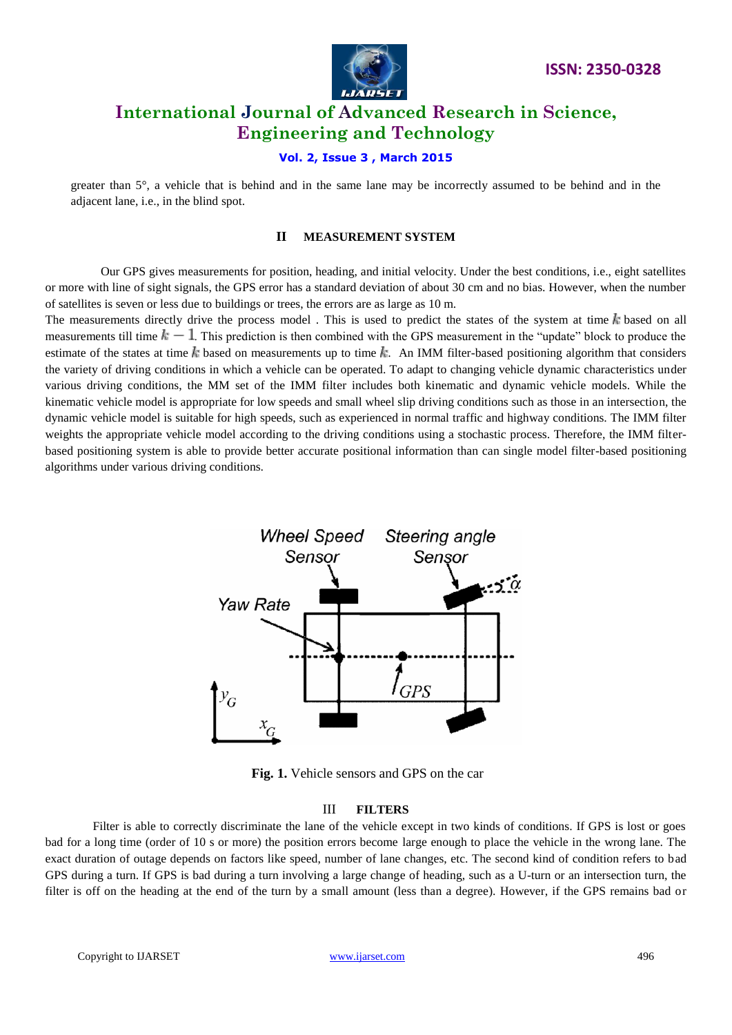

## **Vol. 2, Issue 3 , March 2015**

greater than 5°, a vehicle that is behind and in the same lane may be incorrectly assumed to be behind and in the adjacent lane, i.e., in the blind spot.

### **II MEASUREMENT SYSTEM**

 Our GPS gives measurements for position, heading, and initial velocity. Under the best conditions, i.e., eight satellites or more with line of sight signals, the GPS error has a standard deviation of about 30 cm and no bias. However, when the number of satellites is seven or less due to buildings or trees, the errors are as large as 10 m.

The measurements directly drive the process model. This is used to predict the states of the system at time  $k$  based on all measurements till time  $k - 1$ . This prediction is then combined with the GPS measurement in the "update" block to produce the estimate of the states at time  $k$  based on measurements up to time  $k$ . An IMM filter-based positioning algorithm that considers the variety of driving conditions in which a vehicle can be operated. To adapt to changing vehicle dynamic characteristics under various driving conditions, the MM set of the IMM filter includes both kinematic and dynamic vehicle models. While the kinematic vehicle model is appropriate for low speeds and small wheel slip driving conditions such as those in an intersection, the dynamic vehicle model is suitable for high speeds, such as experienced in normal traffic and highway conditions. The IMM filter weights the appropriate vehicle model according to the driving conditions using a stochastic process. Therefore, the IMM filterbased positioning system is able to provide better accurate positional information than can single model filter-based positioning algorithms under various driving conditions.



**Fig. 1.** Vehicle sensors and GPS on the car

#### III **FILTERS**

Filter is able to correctly discriminate the lane of the vehicle except in two kinds of conditions. If GPS is lost or goes bad for a long time (order of 10 s or more) the position errors become large enough to place the vehicle in the wrong lane. The exact duration of outage depends on factors like speed, number of lane changes, etc. The second kind of condition refers to bad GPS during a turn. If GPS is bad during a turn involving a large change of heading, such as a U-turn or an intersection turn, the filter is off on the heading at the end of the turn by a small amount (less than a degree). However, if the GPS remains bad or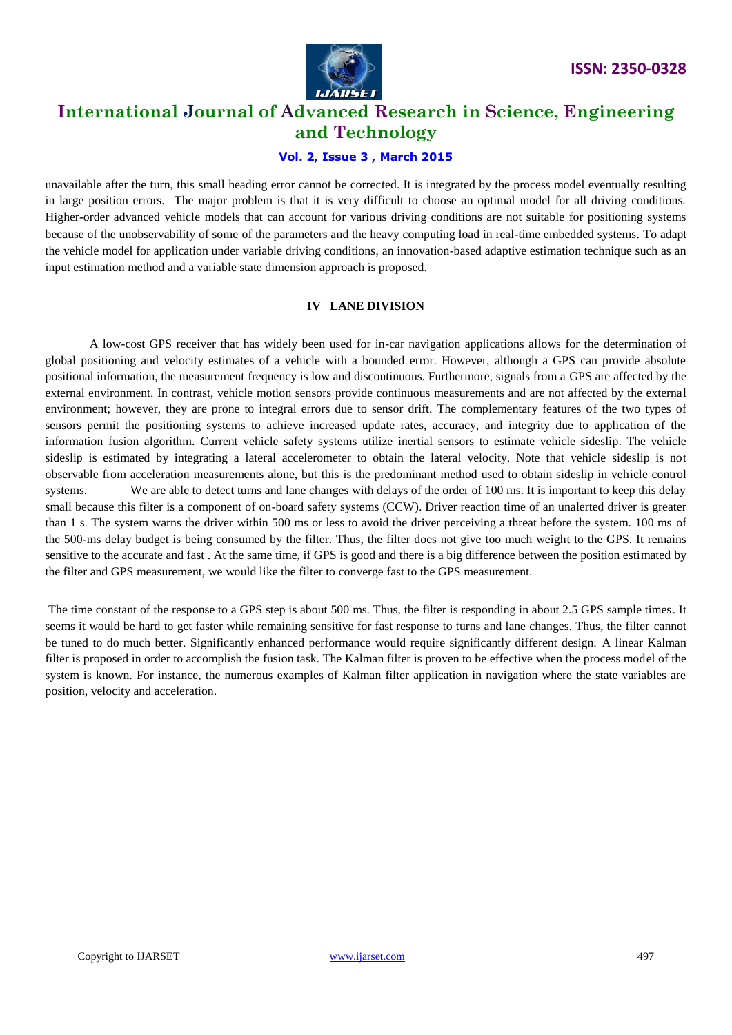

## **Vol. 2, Issue 3 , March 2015**

unavailable after the turn, this small heading error cannot be corrected. It is integrated by the process model eventually resulting in large position errors. The major problem is that it is very difficult to choose an optimal model for all driving conditions. Higher-order advanced vehicle models that can account for various driving conditions are not suitable for positioning systems because of the unobservability of some of the parameters and the heavy computing load in real-time embedded systems. To adapt the vehicle model for application under variable driving conditions, an innovation-based adaptive estimation technique such as an input estimation method and a variable state dimension approach is proposed.

## **IV LANE DIVISION**

 A low-cost GPS receiver that has widely been used for in-car navigation applications allows for the determination of global positioning and velocity estimates of a vehicle with a bounded error. However, although a GPS can provide absolute positional information, the measurement frequency is low and discontinuous. Furthermore, signals from a GPS are affected by the external environment. In contrast, vehicle motion sensors provide continuous measurements and are not affected by the external environment; however, they are prone to integral errors due to sensor drift. The complementary features of the two types of sensors permit the positioning systems to achieve increased update rates, accuracy, and integrity due to application of the information fusion algorithm. Current vehicle safety systems utilize inertial sensors to estimate vehicle sideslip. The vehicle sideslip is estimated by integrating a lateral accelerometer to obtain the lateral velocity. Note that vehicle sideslip is not observable from acceleration measurements alone, but this is the predominant method used to obtain sideslip in vehicle control systems. We are able to detect turns and lane changes with delays of the order of 100 ms. It is important to keep this delay small because this filter is a component of on-board safety systems (CCW). Driver reaction time of an unalerted driver is greater than 1 s. The system warns the driver within 500 ms or less to avoid the driver perceiving a threat before the system. 100 ms of the 500-ms delay budget is being consumed by the filter. Thus, the filter does not give too much weight to the GPS. It remains sensitive to the accurate and fast . At the same time, if GPS is good and there is a big difference between the position estimated by the filter and GPS measurement, we would like the filter to converge fast to the GPS measurement.

The time constant of the response to a GPS step is about 500 ms. Thus, the filter is responding in about 2.5 GPS sample times. It seems it would be hard to get faster while remaining sensitive for fast response to turns and lane changes. Thus, the filter cannot be tuned to do much better. Significantly enhanced performance would require significantly different design. A linear Kalman filter is proposed in order to accomplish the fusion task. The Kalman filter is proven to be effective when the process model of the system is known. For instance, the numerous examples of Kalman filter application in navigation where the state variables are position, velocity and acceleration.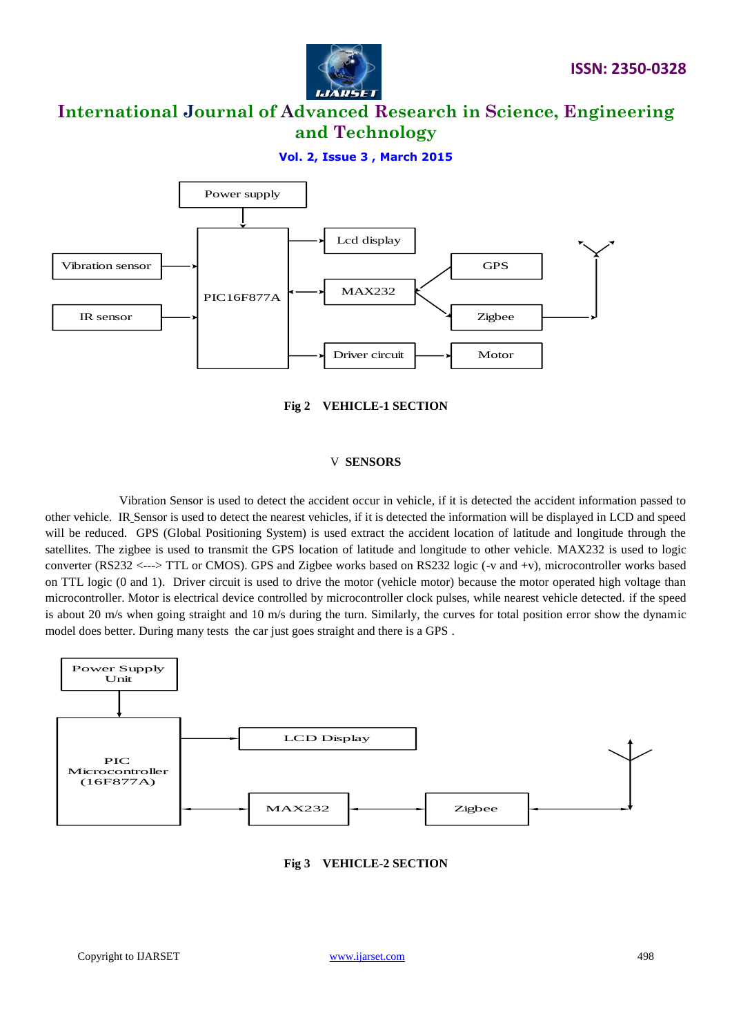

**Vol. 2, Issue 3 , March 2015**





#### V **SENSORS**

 Vibration Sensor is used to detect the accident occur in vehicle, if it is detected the accident information passed to other vehicle. IR Sensor is used to detect the nearest vehicles, if it is detected the information will be displayed in LCD and speed will be reduced. GPS (Global Positioning System) is used extract the accident location of latitude and longitude through the satellites. The zigbee is used to transmit the GPS location of latitude and longitude to other vehicle. MAX232 is used to logic converter (RS232 <---> TTL or CMOS). GPS and Zigbee works based on RS232 logic (-v and +v), microcontroller works based on TTL logic (0 and 1). Driver circuit is used to drive the motor (vehicle motor) because the motor operated high voltage than microcontroller. Motor is electrical device controlled by microcontroller clock pulses, while nearest vehicle detected. if the speed is about 20 m/s when going straight and 10 m/s during the turn. Similarly, the curves for total position error show the dynamic model does better. During many tests the car just goes straight and there is a GPS .



**Fig 3 VEHICLE-2 SECTION**